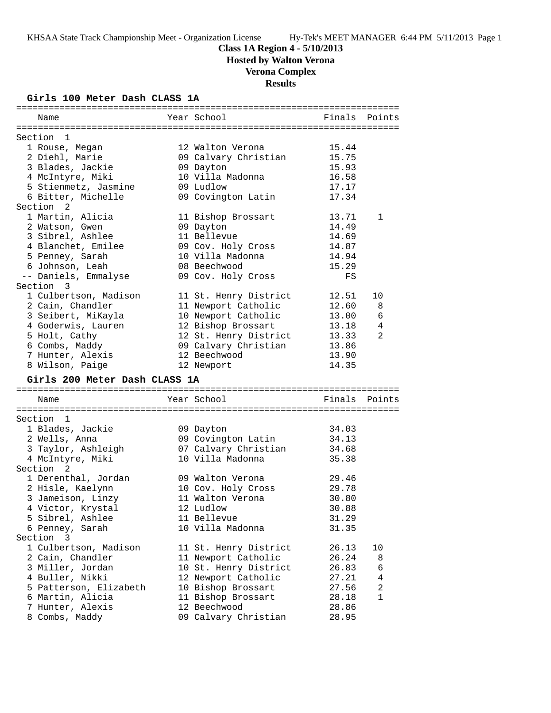# **Class 1A Region 4 - 5/10/2013**

**Hosted by Walton Verona**

# **Verona Complex**

**Results**

## **Girls 100 Meter Dash CLASS 1A**

| Name                          | Year School           | Finals | Points       |
|-------------------------------|-----------------------|--------|--------------|
|                               |                       |        |              |
| Section 1                     |                       |        |              |
| 1 Rouse, Megan                | 12 Walton Verona      | 15.44  |              |
| 2 Diehl, Marie                | 09 Calvary Christian  | 15.75  |              |
| 3 Blades, Jackie              | 09 Dayton             | 15.93  |              |
| 4 McIntyre, Miki              | 10 Villa Madonna      | 16.58  |              |
| 5 Stienmetz, Jasmine          | 09 Ludlow             | 17.17  |              |
| 6 Bitter, Michelle            | 09 Covington Latin    | 17.34  |              |
| Section <sub>2</sub>          |                       |        |              |
| 1 Martin, Alicia              | 11 Bishop Brossart    | 13.71  | $\mathbf{1}$ |
| 2 Watson, Gwen                | 09 Dayton             | 14.49  |              |
| 3 Sibrel, Ashlee              | 11 Bellevue           | 14.69  |              |
| 4 Blanchet, Emilee            | 09 Cov. Holy Cross    | 14.87  |              |
| 5 Penney, Sarah               | 10 Villa Madonna      | 14.94  |              |
| 6 Johnson, Leah               | 08 Beechwood          | 15.29  |              |
| -- Daniels, Emmalyse          | 09 Cov. Holy Cross    | FS     |              |
| Section 3                     |                       |        |              |
| 1 Culbertson, Madison         | 11 St. Henry District | 12.51  | 10           |
| 2 Cain, Chandler              | 11 Newport Catholic   | 12.60  | 8            |
| 3 Seibert, MiKayla            | 10 Newport Catholic   | 13.00  | 6            |
| 4 Goderwis, Lauren            | 12 Bishop Brossart    | 13.18  | 4            |
| 5 Holt, Cathy                 | 12 St. Henry District | 13.33  | 2            |
| 6 Combs, Maddy                | 09 Calvary Christian  | 13.86  |              |
| 7 Hunter, Alexis              | 12 Beechwood          | 13.90  |              |
| 8 Wilson, Paige               |                       | 14.35  |              |
|                               | 12 Newport            |        |              |
| Girls 200 Meter Dash CLASS 1A |                       |        |              |
|                               |                       |        |              |
| Name                          | Year School           | Finals | Points       |
|                               |                       |        |              |
| Section 1                     |                       |        |              |
| 1 Blades, Jackie              | 09 Dayton             | 34.03  |              |
| 2 Wells, Anna                 | 09 Covington Latin    | 34.13  |              |
| 3 Taylor, Ashleigh            | 07 Calvary Christian  | 34.68  |              |
| 4 McIntyre, Miki              | 10 Villa Madonna      | 35.38  |              |
| Section 2                     |                       |        |              |
| 1 Derenthal, Jordan           | 09 Walton Verona      | 29.46  |              |
| 2 Hisle, Kaelynn              | 10 Cov. Holy Cross    | 29.78  |              |
| 3 Jameison, Linzy             | 11 Walton Verona      | 30.80  |              |
| 4 Victor, Krystal             | 12 Ludlow             | 30.88  |              |
| 5 Sibrel, Ashlee              | 11 Bellevue           | 31.29  |              |
| 6 Penney, Sarah               | 10 Villa Madonna      | 31.35  |              |
| Section 3                     |                       |        |              |
| 1 Culbertson, Madison         | 11 St. Henry District | 26.13  | 10           |
| 2 Cain, Chandler              | 11 Newport Catholic   | 26.24  | 8            |
| 3 Miller, Jordan              | 10 St. Henry District | 26.83  | 6            |
| 4 Buller, Nikki               | 12 Newport Catholic   | 27.21  | 4            |
| 5 Patterson, Elizabeth        | 10 Bishop Brossart    | 27.56  | 2            |
| 6 Martin, Alicia              | 11 Bishop Brossart    | 28.18  | 1            |
| 7 Hunter, Alexis              | 12 Beechwood          | 28.86  |              |
| 8 Combs, Maddy                | 09 Calvary Christian  | 28.95  |              |
|                               |                       |        |              |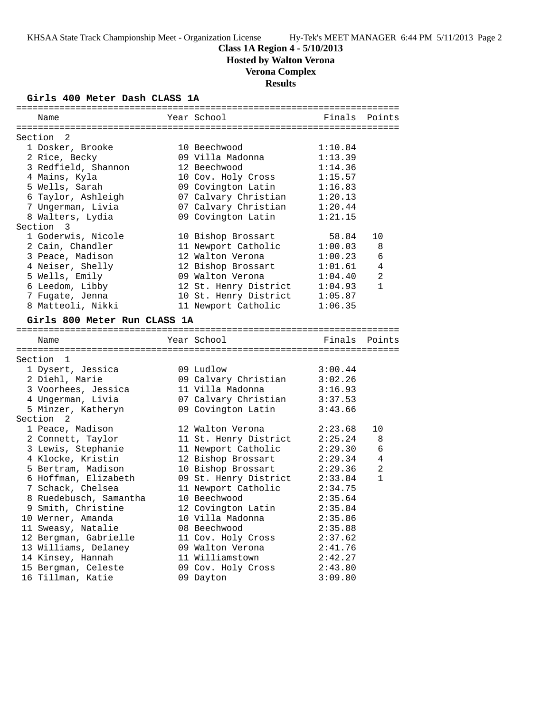**Class 1A Region 4 - 5/10/2013**

**Hosted by Walton Verona**

# **Verona Complex**

**Results**

## **Girls 400 Meter Dash CLASS 1A**

| Name                         | Year School           | Finals  | Points         |
|------------------------------|-----------------------|---------|----------------|
| Section<br>2                 |                       |         |                |
| 1 Dosker, Brooke             | 10 Beechwood          | 1:10.84 |                |
| 2 Rice, Becky                | 09 Villa Madonna      | 1:13.39 |                |
| 3 Redfield, Shannon          | 12 Beechwood          | 1:14.36 |                |
| 4 Mains, Kyla                | 10 Cov. Holy Cross    | 1:15.57 |                |
| 5 Wells, Sarah               | 09 Covington Latin    | 1:16.83 |                |
| 6 Taylor, Ashleigh           | 07 Calvary Christian  | 1:20.13 |                |
| 7 Ungerman, Livia            | 07 Calvary Christian  | 1:20.44 |                |
| 8 Walters, Lydia             | 09 Covington Latin    | 1:21.15 |                |
| Section<br>3                 |                       |         |                |
| 1 Goderwis, Nicole           | 10 Bishop Brossart    | 58.84   | 10             |
| 2 Cain, Chandler             | 11 Newport Catholic   | 1:00.03 | 8              |
| 3 Peace, Madison             | 12 Walton Verona      | 1:00.23 | 6              |
| 4 Neiser, Shelly             | 12 Bishop Brossart    | 1:01.61 | 4              |
| 5 Wells, Emily               | 09 Walton Verona      | 1:04.40 | $\overline{a}$ |
| 6 Leedom, Libby              | 12 St. Henry District | 1:04.93 | $\mathbf{1}$   |
| 7 Fugate, Jenna              | 10 St. Henry District | 1:05.87 |                |
| 8 Matteoli, Nikki            | 11 Newport Catholic   | 1:06.35 |                |
| Girls 800 Meter Run CLASS 1A |                       |         |                |
|                              |                       |         |                |
| Name                         | Year School           |         | Finals Points  |
|                              |                       |         |                |
| Section 1                    |                       |         |                |
| 1 Dysert, Jessica            | 09 Ludlow             | 3:00.44 |                |
| 2 Diehl, Marie               | 09 Calvary Christian  | 3:02.26 |                |
| 3 Voorhees, Jessica          | 11 Villa Madonna      | 3:16.93 |                |
| 4 Ungerman, Livia            | 07 Calvary Christian  | 3:37.53 |                |
| 5 Minzer, Katheryn           | 09 Covington Latin    | 3:43.66 |                |
| Section 2                    |                       |         |                |
| 1 Peace, Madison             | 12 Walton Verona      | 2:23.68 | 10             |
| 2 Connett, Taylor            | 11 St. Henry District | 2:25.24 | 8              |
| 3 Lewis, Stephanie           | 11 Newport Catholic   | 2:29.30 | 6              |
| 4 Klocke, Kristin            | 12 Bishop Brossart    | 2:29.34 | 4              |
| 5 Bertram, Madison           | 10 Bishop Brossart    | 2:29.36 | 2              |
| 6 Hoffman, Elizabeth         | 09 St. Henry District | 2:33.84 | $\mathbf{1}$   |
| 7 Schack, Chelsea            | 11 Newport Catholic   | 2:34.75 |                |
| 8 Ruedebusch, Samantha       | 10 Beechwood          | 2:35.64 |                |
| 9 Smith, Christine           | 12 Covington Latin    | 2:35.84 |                |
| 10 Werner, Amanda            | 10 Villa Madonna      | 2:35.86 |                |
| 11 Sweasy, Natalie           | 08 Beechwood          | 2:35.88 |                |
| 12 Bergman, Gabrielle        | 11 Cov. Holy Cross    | 2:37.62 |                |
| 13 Williams, Delaney         | 09 Walton Verona      | 2:41.76 |                |
| 14 Kinsey, Hannah            | 11 Williamstown       | 2:42.27 |                |
| 15 Bergman, Celeste          | 09 Cov. Holy Cross    | 2:43.80 |                |
| 16 Tillman, Katie            | 09 Dayton             | 3:09.80 |                |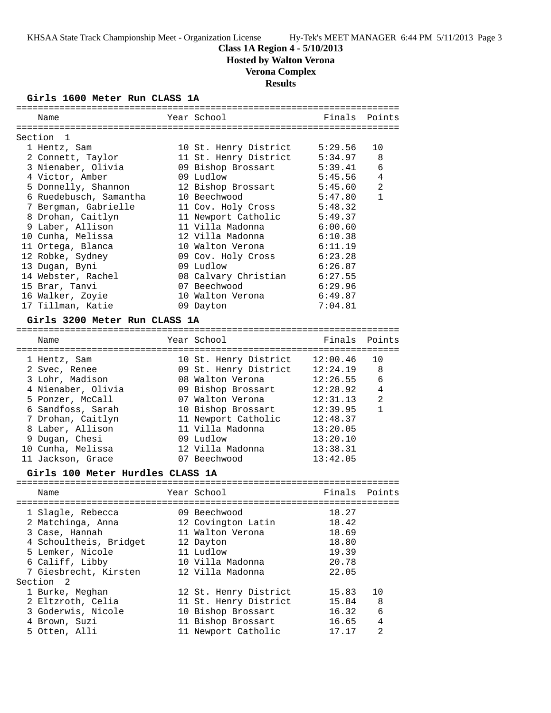### **Class 1A Region 4 - 5/10/2013**

**Hosted by Walton Verona**

# **Verona Complex**

# **Results**

## **Girls 1600 Meter Run CLASS 1A**

| Name                             | Year School           | Finals Points |                |
|----------------------------------|-----------------------|---------------|----------------|
| Section 1                        |                       |               |                |
| 1 Hentz, Sam                     | 10 St. Henry District | 5:29.56       | 10             |
| 2 Connett, Taylor                | 11 St. Henry District | 5:34.97       | 8              |
| 3 Nienaber, Olivia               | 09 Bishop Brossart    | 5:39.41       | 6              |
| 4 Victor, Amber                  | 09 Ludlow             | 5:45.56       | $\overline{4}$ |
| 5 Donnelly, Shannon              | 12 Bishop Brossart    | 5:45.60       | $\overline{2}$ |
| 6 Ruedebusch, Samantha           | 10 Beechwood          | 5:47.80       | $\mathbf{1}$   |
| 7 Bergman, Gabrielle             | 11 Cov. Holy Cross    | 5:48.32       |                |
| 8 Drohan, Caitlyn                | 11 Newport Catholic   | 5:49.37       |                |
| 9 Laber, Allison                 | 11 Villa Madonna      | 6:00.60       |                |
| 10 Cunha, Melissa                | 12 Villa Madonna      | 6:10.38       |                |
| 11 Ortega, Blanca                | 10 Walton Verona      | 6:11.19       |                |
| 12 Robke, Sydney                 | 09 Cov. Holy Cross    | 6:23.28       |                |
| 13 Dugan, Byni                   | 09 Ludlow             | 6:26.87       |                |
| 14 Webster, Rachel               | 08 Calvary Christian  | 6:27.55       |                |
| 15 Brar, Tanvi                   | 07 Beechwood          | 6:29.96       |                |
| 16 Walker, Zoyie                 | 10 Walton Verona      | 6:49.87       |                |
| 17 Tillman, Katie                | 09 Dayton             | 7:04.81       |                |
| Girls 3200 Meter Run CLASS 1A    |                       |               |                |
|                                  |                       |               |                |
| Name                             | Year School           | Finals        | Points         |
| 1 Hentz, Sam                     | 10 St. Henry District | 12:00.46      | 10             |
| 2 Svec, Renee                    | 09 St. Henry District | 12:24.19      | 8              |
| 3 Lohr, Madison                  | 08 Walton Verona      | 12:26.55      | 6              |
| 4 Nienaber, Olivia               | 09 Bishop Brossart    | 12:28.92      | 4              |
| 5 Ponzer, McCall                 | 07 Walton Verona      | 12:31.13      | 2              |
| 6 Sandfoss, Sarah                | 10 Bishop Brossart    | 12:39.95      | $\mathbf{1}$   |
| 7 Drohan, Caitlyn                | 11 Newport Catholic   | 12:48.37      |                |
| 8 Laber, Allison                 | 11 Villa Madonna      | 13:20.05      |                |
| 9 Dugan, Chesi                   | 09 Ludlow             | 13:20.10      |                |
| 10 Cunha, Melissa                | 12 Villa Madonna      | 13:38.31      |                |
| 11 Jackson, Grace                | 07 Beechwood          | 13:42.05      |                |
| Girls 100 Meter Hurdles CLASS 1A |                       |               |                |
|                                  |                       |               |                |
| Name                             | Year School           | Finals Points |                |
| 1 Slagle, Rebecca                | 09 Beechwood          | 18.27         |                |
| 2 Matchinga, Anna                | 12 Covington Latin    | 18.42         |                |
| 3 Case, Hannah                   | 11 Walton Verona      | 18.69         |                |
| 4 Schoultheis, Bridget           | 12 Dayton             | 18.80         |                |
| 5 Lemker, Nicole                 | 11 Ludlow             | 19.39         |                |
| 6 Califf, Libby                  | 10 Villa Madonna      | 20.78         |                |
| 7 Giesbrecht, Kirsten            | 12 Villa Madonna      | 22.05         |                |
| Section 2                        |                       |               |                |

| Section 2          |                       |       |                |
|--------------------|-----------------------|-------|----------------|
| 1 Burke, Meghan    | 12 St. Henry District | 15.83 | 10             |
| 2 Eltzroth, Celia  | 11 St. Henry District | 15.84 | - 8            |
| 3 Goderwis, Nicole | 10 Bishop Brossart    | 16.32 | - 6            |
| 4 Brown, Suzi      | 11 Bishop Brossart    | 16.65 | $\overline{4}$ |
| 5 Otten, Alli      | 11 Newport Catholic   | 17.17 | 2              |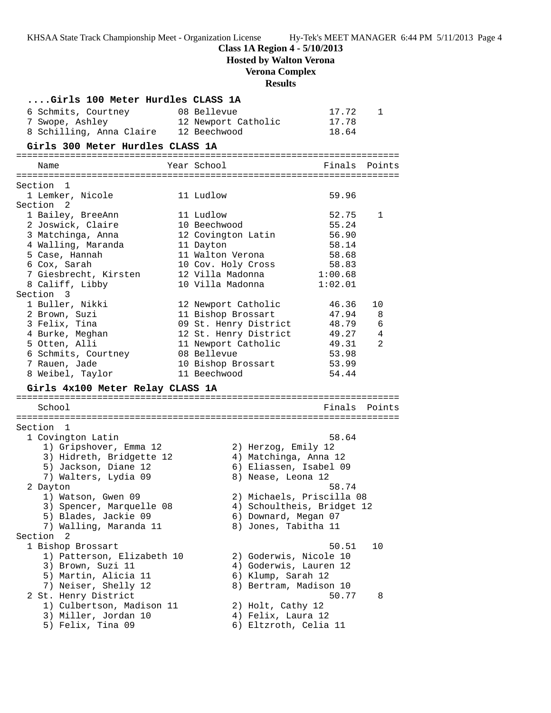**Class 1A Region 4 - 5/10/2013**

**Hosted by Walton Verona**

# **Verona Complex**

# **Results**

| Girls 100 Meter Hurdles CLASS 1A                                                |                                    |                                    |                |
|---------------------------------------------------------------------------------|------------------------------------|------------------------------------|----------------|
| 6 Schmits, Courtney<br>7 Swope, Ashley<br>8 Schilling, Anna Claire 12 Beechwood | 08 Bellevue<br>12 Newport Catholic | 17.72<br>17.78<br>18.64            | 1              |
| Girls 300 Meter Hurdles CLASS 1A                                                |                                    |                                    |                |
| Name                                                                            | Year School                        | Finals                             | Points         |
| Section<br>1                                                                    |                                    |                                    |                |
| 1 Lemker, Nicole                                                                | 11 Ludlow                          | 59.96                              |                |
| Section <sub>2</sub>                                                            |                                    |                                    |                |
| 1 Bailey, BreeAnn                                                               | 11 Ludlow                          | 52.75                              | 1              |
| 2 Joswick, Claire                                                               | 10 Beechwood                       | 55.24                              |                |
| 3 Matchinga, Anna                                                               | 12 Covington Latin                 | 56.90                              |                |
| 4 Walling, Maranda<br>5 Case, Hannah                                            | 11 Dayton<br>11 Walton Verona      | 58.14<br>58.68                     |                |
| 6 Cox, Sarah                                                                    | 10 Cov. Holy Cross                 | 58.83                              |                |
| 7 Giesbrecht, Kirsten                                                           | 12 Villa Madonna                   | 1:00.68                            |                |
| 8 Califf, Libby                                                                 | 10 Villa Madonna                   | 1:02.01                            |                |
| Section 3                                                                       |                                    |                                    |                |
| 1 Buller, Nikki                                                                 | 12 Newport Catholic                | 46.36                              | 10             |
| 2 Brown, Suzi                                                                   | 11 Bishop Brossart                 | 47.94                              | 8              |
| 3 Felix, Tina                                                                   | 09 St. Henry District              | 48.79                              | 6              |
| 4 Burke, Meghan                                                                 | 12 St. Henry District              | 49.27                              | $\overline{4}$ |
| 5 Otten, Alli<br>6 Schmits, Courtney                                            | 11 Newport Catholic<br>08 Bellevue | 49.31<br>53.98                     | 2              |
| 7 Rauen, Jade                                                                   | 10 Bishop Brossart                 | 53.99                              |                |
| 8 Weibel, Taylor                                                                | 11 Beechwood                       | 54.44                              |                |
| Girls 4x100 Meter Relay CLASS 1A                                                |                                    |                                    |                |
|                                                                                 |                                    |                                    |                |
| School                                                                          |                                    |                                    | Finals Points  |
| Section 1                                                                       |                                    |                                    |                |
| 1 Covington Latin                                                               |                                    | 58.64                              |                |
| 1) Gripshover, Emma 12                                                          | 2) Herzog, Emily 12                |                                    |                |
| 3) Hidreth, Bridgette 12                                                        |                                    | 4) Matchinga, Anna 12              |                |
| 5) Jackson, Diane 12                                                            |                                    | 6) Eliassen, Isabel 09             |                |
| 7) Walters, Lydia 09                                                            | 8) Nease, Leona 12                 |                                    |                |
| 2 Dayton<br>1) Watson, Gwen 09                                                  |                                    | 58.74<br>2) Michaels, Priscilla 08 |                |
| 3) Spencer, Marquelle 08                                                        |                                    | 4) Schoultheis, Bridget 12         |                |
| 5) Blades, Jackie 09                                                            | 6) Downard, Megan 07               |                                    |                |
| 7) Walling, Maranda 11                                                          | 8) Jones, Tabitha 11               |                                    |                |
| Section<br>2                                                                    |                                    |                                    |                |
| 1 Bishop Brossart                                                               |                                    | 50.51                              | 10             |
| 1) Patterson, Elizabeth 10                                                      |                                    | 2) Goderwis, Nicole 10             |                |
| 3) Brown, Suzi 11                                                               |                                    | 4) Goderwis, Lauren 12             |                |
| 5) Martin, Alicia 11<br>7) Neiser, Shelly 12                                    | 6) Klump, Sarah 12                 | 8) Bertram, Madison 10             |                |
| 2 St. Henry District                                                            |                                    | 50.77                              | 8              |
| 1) Culbertson, Madison 11                                                       | 2) Holt, Cathy 12                  |                                    |                |
| 3) Miller, Jordan 10                                                            | 4) Felix, Laura 12                 |                                    |                |
| 5) Felix, Tina 09                                                               |                                    | 6) Eltzroth, Celia 11              |                |
|                                                                                 |                                    |                                    |                |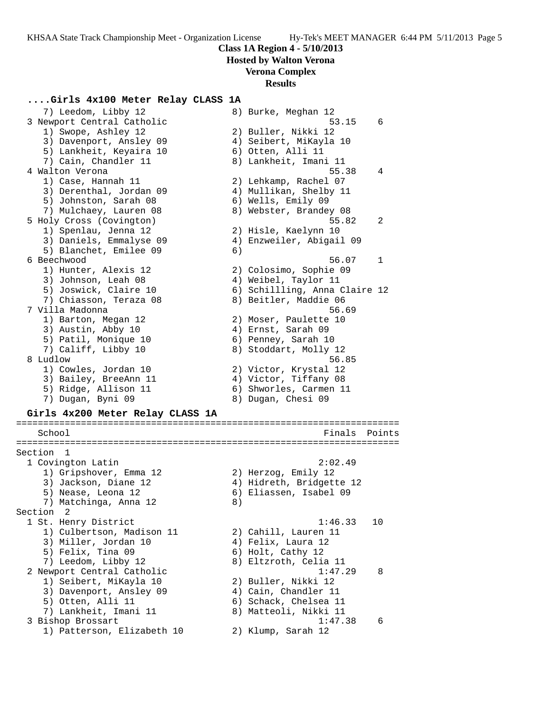**Hosted by Walton Verona**

## **Verona Complex**

#### **Results**

### **....Girls 4x100 Meter Relay CLASS 1A**

 7) Leedom, Libby 12 8) Burke, Meghan 12 3 Newport Central Catholic 53.15 6 1) Swope, Ashley 12 2) Buller, Nikki 12 3) Davenport, Ansley 09 4) Seibert, MiKayla 10 5) Lankheit, Keyaira 10 6) Otten, Alli 11 7) Cain, Chandler 11 8) Lankheit, Imani 11 4 Walton Verona 55.38 4 1) Case, Hannah 11 2) Lehkamp, Rachel 07 3) Derenthal, Jordan 09 4) Mullikan, Shelby 11 5) Johnston, Sarah 08 6) Wells, Emily 09 7) Mulchaey, Lauren 08 8) Webster, Brandey 08 5 Holy Cross (Covington) 55.82 2 1) Spenlau, Jenna 12 2) Hisle, Kaelynn 10 3) Daniels, Emmalyse 09 4) Enzweiler, Abigail 09 5) Blanchet, Emilee 09 6) 6 Beechwood 56.07 1 1) Hunter, Alexis 12 2) Colosimo, Sophie 09 3) Johnson, Leah 08 (4) Weibel, Taylor 11 5) Joswick, Claire 10 6) Schillling, Anna Claire 12 7) Chiasson, Teraza 08 8) Beitler, Maddie 06 7 Villa Madonna 56.69 1) Barton, Megan 12 2) Moser, Paulette 10 3) Austin, Abby 10 4) Ernst, Sarah 09 5) Patil, Monique 10 (6) Penney, Sarah 10 7) Califf, Libby 10 8) Stoddart, Molly 12 8 Ludlow 56.85 1) Cowles, Jordan 10 2) Victor, Krystal 12 3) Bailey, BreeAnn 11 4) Victor, Tiffany 08 5) Ridge, Allison 11 6) Shworles, Carmen 11 7) Dugan, Byni 09 8) Dugan, Chesi 09 **Girls 4x200 Meter Relay CLASS 1A** ======================================================================= School **Finals** Points ======================================================================= Section 1 1 Covington Latin 2:02.49 1) Gripshover, Emma 12 2) Herzog, Emily 12 3) Jackson, Diane 12 4) Hidreth, Bridgette 12 5) Nease, Leona 12 6) Eliassen, Isabel 09 7) Matchinga, Anna 12 anns 8) Section 2 1 St. Henry District 1:46.33 10 1) Culbertson, Madison 11 2) Cahill, Lauren 11 3) Miller, Jordan 10  $\hskip1cm \hskip1cm 4$ ) Felix, Laura 12 5) Felix, Tina 09 6) Holt, Cathy 12 7) Leedom, Libby 12 8) Eltzroth, Celia 11 2 Newport Central Catholic 1:47.29 8 1) Seibert, MiKayla 10 2) Buller, Nikki 12 3) Davenport, Ansley 09 (4) Cain, Chandler 11 5) Otten, Alli 11 6) Schack, Chelsea 11 7) Lankheit, Imani 11 8) Matteoli, Nikki 11 3 Bishop Brossart 1:47.38 6 1) Patterson, Elizabeth 10 2) Klump, Sarah 12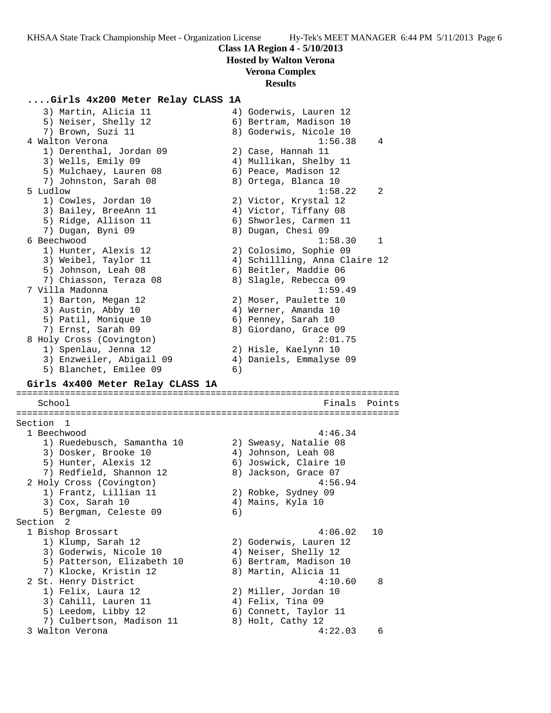**Hosted by Walton Verona**

## **Verona Complex**

## **Results**

**....Girls 4x200 Meter Relay CLASS 1A** 3) Martin, Alicia 11 4) Goderwis, Lauren 12 5) Neiser, Shelly 12 (6) Bertram, Madison 10 7) Brown, Suzi 11 8) Goderwis, Nicole 10 4 Walton Verona 1:56.38 4 1) Derenthal, Jordan 09 2) Case, Hannah 11 3) Wells, Emily 09 4) Mullikan, Shelby 11 5) Mulchaey, Lauren 08 6) Peace, Madison 12 7) Johnston, Sarah 08 8 8) Ortega, Blanca 10 5 Ludlow 1:58.22 2 1) Cowles, Jordan 10 2) Victor, Krystal 12 3) Bailey, BreeAnn 11 4) Victor, Tiffany 08 5) Ridge, Allison 11 6) Shworles, Carmen 11 7) Dugan, Byni 09 8) Dugan, Chesi 09 6 Beechwood 1:58.30 1 1) Hunter, Alexis 12 2) Colosimo, Sophie 09 3) Weibel, Taylor 11 4) Schillling, Anna Claire 12 5) Johnson, Leah 08 6) Beitler, Maddie 06 7) Chiasson, Teraza 08 8) Slagle, Rebecca 09 7 Villa Madonna 1:59.49 1) Barton, Megan 12 2) Moser, Paulette 10 3) Austin, Abby 10 (4) Werner, Amanda 10 5) Patil, Monique 10 6) Penney, Sarah 10 7) Ernst, Sarah 09 8) Giordano, Grace 09 8 Holy Cross (Covington) 2:01.75 1) Spenlau, Jenna 12 2) Hisle, Kaelynn 10 3) Enzweiler, Abigail 09 4) Daniels, Emmalyse 09 5) Blanchet, Emilee 09 6) **Girls 4x400 Meter Relay CLASS 1A** ======================================================================= School **Finals** Points ======================================================================= Section 1 1 Beechwood 4:46.34 1) Ruedebusch, Samantha 10 2) Sweasy, Natalie 08 3) Dosker, Brooke 10 4) Johnson, Leah 08 5) Hunter, Alexis 12 6) Joswick, Claire 10 7) Redfield, Shannon 12 and 8) Jackson, Grace 07 2 Holy Cross (Covington) 4:56.94 1) Frantz, Lillian 11 2) Robke, Sydney 09 3) Cox, Sarah 10  $\hskip1cm$  4) Mains, Kyla 10 5) Bergman, Celeste 09 (6) Section 2 1 Bishop Brossart 4:06.02 10 1) Klump, Sarah 12 2) Goderwis, Lauren 12 3) Goderwis, Nicole 10 (4) Neiser, Shelly 12 5) Patterson, Elizabeth 10 6) Bertram, Madison 10 7) Klocke, Kristin 12 8) Martin, Alicia 11 2 St. Henry District 4:10.60 8 1) Felix, Laura 12 2) Miller, Jordan 10 3) Cahill, Lauren 11 (4) Felix, Tina 09 5) Leedom, Libby 12 6) Connett, Taylor 11 7) Culbertson, Madison 11 and 8) Holt, Cathy 12 3 Walton Verona 4:22.03 6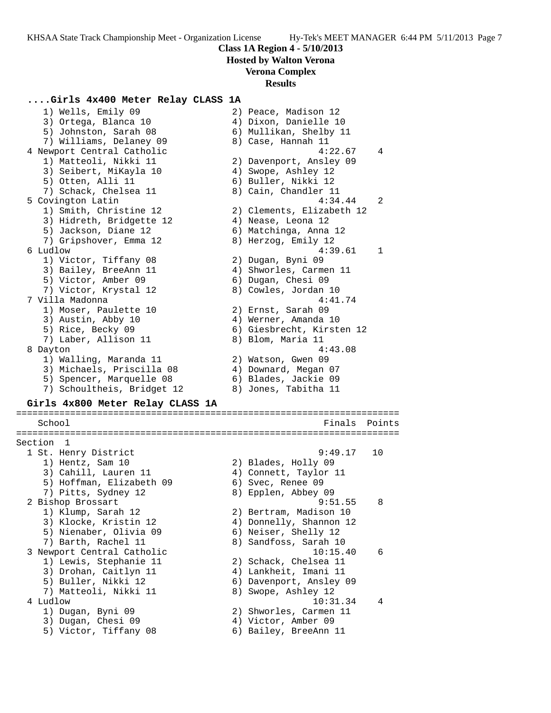**Hosted by Walton Verona**

# **Verona Complex**

## **Results**

## **....Girls 4x400 Meter Relay CLASS 1A**

| 1) Wells, Emily 09               | 2) Peace, Madison 12      |        |
|----------------------------------|---------------------------|--------|
| 3) Ortega, Blanca 10             | 4) Dixon, Danielle 10     |        |
| 5) Johnston, Sarah 08            | 6) Mullikan, Shelby 11    |        |
| 7) Williams, Delaney 09          | 8) Case, Hannah 11        |        |
| 4 Newport Central Catholic       | 4:22.67                   | 4      |
| 1) Matteoli, Nikki 11            | 2) Davenport, Ansley 09   |        |
| 3) Seibert, MiKayla 10           | 4) Swope, Ashley 12       |        |
| 5) Otten, Alli 11                | 6) Buller, Nikki 12       |        |
| 7) Schack, Chelsea 11            | 8) Cain, Chandler 11      |        |
| 5 Covington Latin                | 4:34.44                   | 2      |
| 1) Smith, Christine 12           | 2) Clements, Elizabeth 12 |        |
| 3) Hidreth, Bridgette 12         | 4) Nease, Leona 12        |        |
| 5) Jackson, Diane 12             | 6) Matchinga, Anna 12     |        |
| 7) Gripshover, Emma 12           | 8) Herzog, Emily 12       |        |
| 6 Ludlow                         | 4:39.61                   | 1      |
| 1) Victor, Tiffany 08            |                           |        |
|                                  | 2) Dugan, Byni 09         |        |
| 3) Bailey, BreeAnn 11            | 4) Shworles, Carmen 11    |        |
| 5) Victor, Amber 09              | 6) Dugan, Chesi 09        |        |
| 7) Victor, Krystal 12            | 8) Cowles, Jordan 10      |        |
| 7 Villa Madonna                  | 4:41.74                   |        |
| 1) Moser, Paulette 10            | 2) Ernst, Sarah 09        |        |
| 3) Austin, Abby 10               | 4) Werner, Amanda 10      |        |
| 5) Rice, Becky 09                | 6) Giesbrecht, Kirsten 12 |        |
| 7) Laber, Allison 11             | 8) Blom, Maria 11         |        |
| 8 Dayton                         | 4:43.08                   |        |
| 1) Walling, Maranda 11           | 2) Watson, Gwen 09        |        |
| 3) Michaels, Priscilla 08        | 4) Downard, Megan 07      |        |
| 5) Spencer, Marquelle 08         | 6) Blades, Jackie 09      |        |
| 7) Schoultheis, Bridget 12       | 8) Jones, Tabitha 11      |        |
| Girls 4x800 Meter Relay CLASS 1A |                           |        |
| School                           | Finals                    | Points |
|                                  |                           |        |
| Section 1                        |                           |        |
| 1 St. Henry District             | 9:49.17                   | 10     |
| 1) Hentz, Sam 10                 | 2) Blades, Holly 09       |        |
| 3) Cahill, Lauren 11             | 4) Connett, Taylor 11     |        |
| 5) Hoffman, Elizabeth 09         | 6) Svec, Renee 09         |        |
| 7) Pitts, Sydney 12              | 8) Epplen, Abbey 09       |        |
| 2 Bishop Brossart                | 9:51.55                   | 8      |
| 1) Klump, Sarah 12               | 2) Bertram, Madison 10    |        |
| 3) Klocke, Kristin 12            | 4) Donnelly, Shannon 12   |        |
| 5) Nienaber, Olivia 09           | 6) Neiser, Shelly 12      |        |
| 7) Barth, Rachel 11              | 8) Sandfoss, Sarah 10     |        |
| 3 Newport Central Catholic       | 10:15.40                  | 6      |
| 1) Lewis, Stephanie 11           | 2) Schack, Chelsea 11     |        |
| 3) Drohan, Caitlyn 11            | 4) Lankheit, Imani 11     |        |
|                                  |                           |        |
| 5) Buller, Nikki 12              | 6) Davenport, Ansley 09   |        |
| 7) Matteoli, Nikki 11            | 8) Swope, Ashley 12       |        |
| 4 Ludlow                         | 10:31.34                  | 4      |
| 1) Dugan, Byni 09                | 2) Shworles, Carmen 11    |        |
| 3) Dugan, Chesi 09               | 4) Victor, Amber 09       |        |
| 5) Victor, Tiffany 08            | 6) Bailey, BreeAnn 11     |        |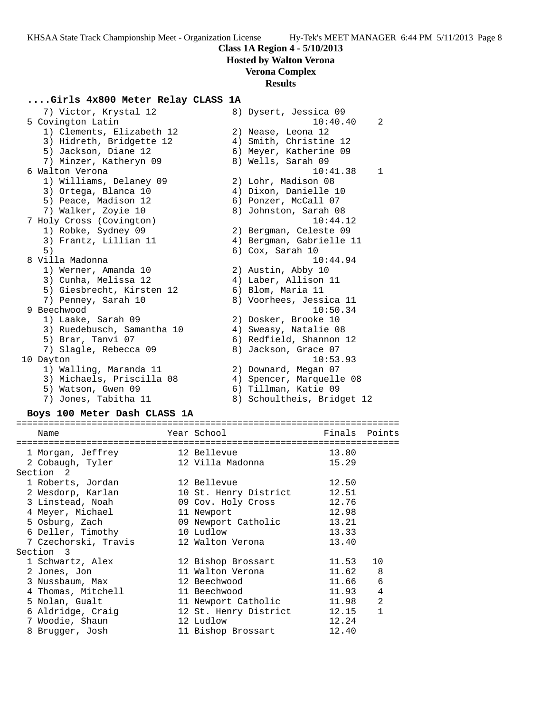**Hosted by Walton Verona**

# **Verona Complex**

## **Results**

### **....Girls 4x800 Meter Relay CLASS 1A**

| 7) Victor, Krystal 12      | 8) Dysert, Jessica 09      |
|----------------------------|----------------------------|
| 5 Covington Latin          | 10:40.40<br>2              |
| 1) Clements, Elizabeth 12  | 2) Nease, Leona 12         |
| 3) Hidreth, Bridgette 12   | 4) Smith, Christine 12     |
| 5) Jackson, Diane 12       | 6) Meyer, Katherine 09     |
| 7) Minzer, Katheryn 09     | 8) Wells, Sarah 09         |
| 6 Walton Verona            | 10:41.38<br>$\mathbf{1}$   |
| 1) Williams, Delaney 09    | 2) Lohr, Madison 08        |
| 3) Ortega, Blanca 10       | 4) Dixon, Danielle 10      |
| 5) Peace, Madison 12       | 6) Ponzer, McCall 07       |
| 7) Walker, Zoyie 10        | 8) Johnston, Sarah 08      |
| 7 Holy Cross (Covington)   | 10:44.12                   |
| 1) Robke, Sydney 09        | 2) Bergman, Celeste 09     |
| 3) Frantz, Lillian 11      | 4) Bergman, Gabrielle 11   |
| 5)                         | 6) Cox, Sarah 10           |
| 8 Villa Madonna            | 10:44.94                   |
| 1) Werner, Amanda 10       | 2) Austin, Abby 10         |
| 3) Cunha, Melissa 12       | 4) Laber, Allison 11       |
| 5) Giesbrecht, Kirsten 12  | 6) Blom, Maria 11          |
| 7) Penney, Sarah 10        | 8) Voorhees, Jessica 11    |
| 9 Beechwood                | 10:50.34                   |
| 1) Laake, Sarah 09         | 2) Dosker, Brooke 10       |
| 3) Ruedebusch, Samantha 10 | 4) Sweasy, Natalie 08      |
| 5) Brar, Tanvi 07          | 6) Redfield, Shannon 12    |
| 7) Slagle, Rebecca 09      | 8) Jackson, Grace 07       |
| 10 Dayton                  | 10:53.93                   |
| 1) Walling, Maranda 11     | 2) Downard, Megan 07       |
| 3) Michaels, Priscilla 08  | 4) Spencer, Marquelle 08   |
| 5) Watson, Gwen 09         | 6) Tillman, Katie 09       |
| 7) Jones, Tabitha 11       | 8) Schoultheis, Bridget 12 |

#### **Boys 100 Meter Dash CLASS 1A**

======================================================================= Year School Finals Points ======================================================================= 1 Morgan, Jeffrey 12 Bellevue 13.80 2 Cobaugh, Tyler 12 Villa Madonna 15.29 Section 2 1 Roberts, Jordan 12 Bellevue 12.50 2 Wesdorp, Karlan 10 St. Henry District 12.51 3 Linstead, Noah 09 Cov. Holy Cross 12.76 4 Meyer, Michael 11 Newport 12.98 5 Osburg, Zach 09 Newport Catholic 13.21 6 Deller, Timothy 10 Ludlow 13.33 7 Czechorski, Travis 12 Walton Verona 13.40 Section 3 1 Schwartz, Alex 12 Bishop Brossart 11.53 10 2 Jones, Jon 11 Walton Verona 11.62 8 3 Nussbaum, Max 12 Beechwood 11.66 6 4 Thomas, Mitchell 11 Beechwood 11.93 4 5 Nolan, Gualt 11 Newport Catholic 11.98 2 6 Aldridge, Craig 12 St. Henry District 12.15 1 7 Woodie, Shaun 12 Ludlow 12.24 8 Brugger, Josh 11 Bishop Brossart 12.40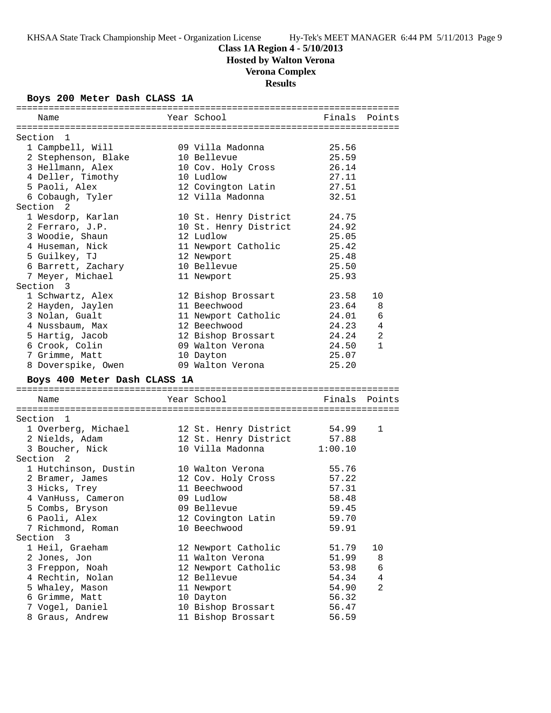# **Class 1A Region 4 - 5/10/2013**

**Hosted by Walton Verona**

# **Verona Complex**

**Results**

## **Boys 200 Meter Dash CLASS 1A**

| Name                               | Year School           | Finals  | Points         |
|------------------------------------|-----------------------|---------|----------------|
|                                    |                       |         |                |
| Section 1                          |                       |         |                |
| 1 Campbell, Will                   | 09 Villa Madonna      | 25.56   |                |
| 2 Stephenson, Blake                | 10 Bellevue           | 25.59   |                |
| 3 Hellmann, Alex                   | 10 Cov. Holy Cross    | 26.14   |                |
| 4 Deller, Timothy                  | 10 Ludlow             | 27.11   |                |
| 5 Paoli, Alex                      | 12 Covington Latin    | 27.51   |                |
| 6 Cobaugh, Tyler                   | 12 Villa Madonna      | 32.51   |                |
| Section <sub>2</sub>               |                       |         |                |
| 1 Wesdorp, Karlan                  | 10 St. Henry District | 24.75   |                |
| 2 Ferraro, J.P.                    | 10 St. Henry District | 24.92   |                |
| 3 Woodie, Shaun                    | 12 Ludlow             | 25.05   |                |
| 4 Huseman, Nick                    | 11 Newport Catholic   | 25.42   |                |
| 5 Guilkey, TJ                      | 12 Newport            | 25.48   |                |
| 6 Barrett, Zachary                 | 10 Bellevue           | 25.50   |                |
| 7 Meyer, Michael                   | 11 Newport            | 25.93   |                |
| Section 3                          |                       |         |                |
| 1 Schwartz, Alex                   | 12 Bishop Brossart    | 23.58   | 10             |
| 2 Hayden, Jaylen                   | 11 Beechwood          | 23.64   | 8              |
| 3 Nolan, Gualt                     | 11 Newport Catholic   | 24.01   | 6              |
| 4 Nussbaum, Max                    | 12 Beechwood          | 24.23   | $\overline{4}$ |
| 5 Hartig, Jacob                    | 12 Bishop Brossart    | 24.24   | 2              |
| 6 Crook, Colin                     | 09 Walton Verona      | 24.50   | $\mathbf{1}$   |
| 7 Grimme, Matt                     | 10 Dayton             | 25.07   |                |
| 8 Doverspike, Owen                 | 09 Walton Verona      | 25.20   |                |
|                                    |                       |         |                |
| Boys 400 Meter Dash CLASS 1A       |                       |         |                |
|                                    |                       |         |                |
|                                    |                       |         |                |
| Name                               | Year School           | Finals  | Points         |
|                                    |                       |         |                |
| Section 1                          |                       |         |                |
| 1 Overberg, Michael                | 12 St. Henry District | 54.99   | 1              |
| 2 Nields, Adam                     | 12 St. Henry District | 57.88   |                |
| 3 Boucher, Nick                    | 10 Villa Madonna      | 1:00.10 |                |
| Section<br>2                       |                       |         |                |
| 1 Hutchinson, Dustin               | 10 Walton Verona      | 55.76   |                |
| 2 Bramer, James                    | 12 Cov. Holy Cross    | 57.22   |                |
| 3 Hicks, Trey                      | 11 Beechwood          | 57.31   |                |
| 4 VanHuss, Cameron                 | 09 Ludlow             | 58.48   |                |
| 5 Combs, Bryson                    | 09 Bellevue           | 59.45   |                |
| 6 Paoli, Alex                      | 12 Covington Latin    | 59.70   |                |
| 7 Richmond, Roman                  | 10 Beechwood          | 59.91   |                |
| Section 3                          |                       |         |                |
| 1 Heil, Graeham                    | 12 Newport Catholic   | 51.79   | 10             |
| 2 Jones, Jon                       | 11 Walton Verona      | 51.99   | 8              |
| 3 Freppon, Noah                    | 12 Newport Catholic   | 53.98   | 6              |
| 4 Rechtin, Nolan                   | 12 Bellevue           | 54.34   | 4              |
| 5 Whaley, Mason                    | 11 Newport            | 54.90   | 2              |
| 6 Grimme, Matt                     | 10 Dayton             | 56.32   |                |
| 7 Vogel, Daniel<br>8 Graus, Andrew | 10 Bishop Brossart    | 56.47   |                |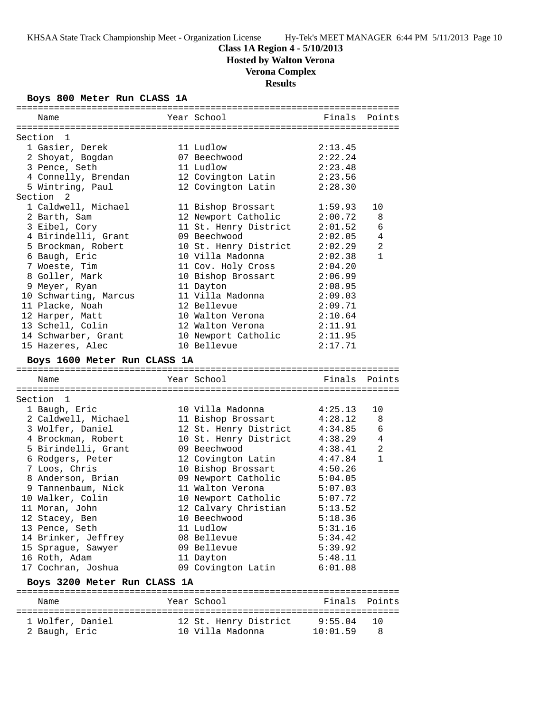# **Class 1A Region 4 - 5/10/2013**

**Hosted by Walton Verona**

# **Verona Complex**

**Results**

### **Boys 800 Meter Run CLASS 1A**

| Name                              | Year School                               | Finals Points       |                |
|-----------------------------------|-------------------------------------------|---------------------|----------------|
|                                   |                                           |                     |                |
| Section 1                         |                                           |                     |                |
| 1 Gasier, Derek                   | 11 Ludlow                                 | 2:13.45             |                |
| 2 Shoyat, Bogdan                  | 07 Beechwood                              | 2:22.24             |                |
| 3 Pence, Seth                     | 11 Ludlow                                 | 2:23.48             |                |
| 4 Connelly, Brendan               | 12 Covington Latin                        | 2:23.56             |                |
| 5 Wintring, Paul                  | 12 Covington Latin                        | 2:28.30             |                |
| Section <sub>2</sub>              |                                           |                     |                |
| 1 Caldwell, Michael               | 11 Bishop Brossart                        | 1:59.93             | 10             |
| 2 Barth, Sam                      | 12 Newport Catholic                       | 2:00.72             | 8              |
| 3 Eibel, Cory                     | 11 St. Henry District                     | 2:01.52             | 6              |
| 4 Birindelli, Grant               | 09 Beechwood                              | 2:02.05             | $\overline{4}$ |
| 5 Brockman, Robert                | 10 St. Henry District                     | 2:02.29             | $\overline{a}$ |
| 6 Baugh, Eric                     | 10 Villa Madonna                          | 2:02.38             | $\mathbf{1}$   |
| 7 Woeste, Tim                     | 11 Cov. Holy Cross                        | 2:04.20             |                |
| 8 Goller, Mark                    | 10 Bishop Brossart                        | 2:06.99             |                |
| 9 Meyer, Ryan                     | 11 Dayton                                 | 2:08.95             |                |
| 10 Schwarting, Marcus             | 11 Villa Madonna                          | 2:09.03             |                |
| 11 Placke, Noah                   | 12 Bellevue                               | 2:09.71             |                |
| 12 Harper, Matt                   | 10 Walton Verona                          | 2:10.64             |                |
| 13 Schell, Colin                  | 12 Walton Verona                          | 2:11.91             |                |
| 14 Schwarber, Grant               | 10 Newport Catholic 2:11.95               |                     |                |
| 15 Hazeres, Alec                  | 10 Bellevue                               | 2:17.71             |                |
| Boys 1600 Meter Run CLASS 1A      |                                           |                     |                |
|                                   |                                           |                     |                |
| Name                              | Year School                               | Finals Points       |                |
|                                   |                                           |                     |                |
| Section 1                         |                                           |                     |                |
| 1 Baugh, Eric                     | 10 Villa Madonna                          | 4:25.13             | 10             |
| 2 Caldwell, Michael               | 11 Bishop Brossart                        | 4:28.12             | 8              |
| 3 Wolfer, Daniel                  | 12 St. Henry District                     | 4:34.85             | 6              |
| 4 Brockman, Robert                | 10 St. Henry District                     | 4:38.29             | 4              |
| 5 Birindelli, Grant               | 09 Beechwood                              | 4:38.41             | 2              |
| 6 Rodgers, Peter                  | 12 Covington Latin                        | 4:47.84             | $\mathbf{1}$   |
| 7 Loos, Chris                     | 10 Bishop Brossart                        | 4:50.26             |                |
| 8 Anderson, Brian                 | 09 Newport Catholic                       | 5:04.05             |                |
| 9 Tannenbaum, Nick                | 11 Walton Verona                          | 5:07.03             |                |
| 10 Walker, Colin                  | 10 Newport Catholic                       | 5:07.72             |                |
| 11 Moran, John                    | 12 Calvary Christian                      | 5:13.52             |                |
| 12 Stacey, Ben                    | 10 Beechwood                              | 5:18.36             |                |
| 13 Pence, Seth                    | 11 Ludlow                                 | 5:31.16             |                |
| 14 Brinker, Jeffrey               | 08 Bellevue                               | 5:34.42             |                |
| 15 Sprague, Sawyer                | 09 Bellevue                               | 5:39.92             |                |
| 16 Roth, Adam                     | 11 Dayton                                 | 5:48.11             |                |
| 17 Cochran, Joshua                | 09 Covington Latin                        | 6:01.08             |                |
| Boys 3200 Meter Run CLASS 1A      |                                           |                     |                |
|                                   |                                           |                     |                |
|                                   |                                           |                     |                |
| Name                              | Year School                               | Finals              | Points         |
|                                   |                                           |                     |                |
| 1 Wolfer, Daniel<br>2 Baugh, Eric | 12 St. Henry District<br>10 Villa Madonna | 9:55.04<br>10:01.59 | 10<br>8        |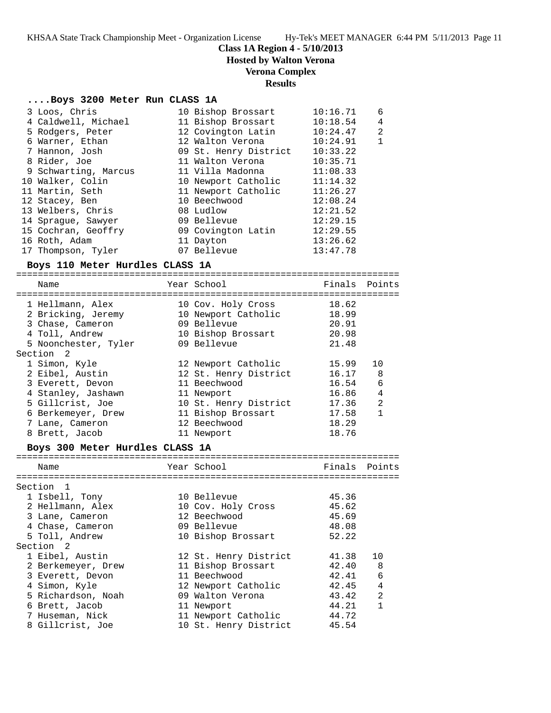# **Class 1A Region 4 - 5/10/2013**

**Hosted by Walton Verona**

# **Verona Complex**

## **Results**

## **....Boys 3200 Meter Run CLASS 1A**

| 3 Loos, Chris        | 10 Bishop Brossart    | 10:16.71 | 6            |
|----------------------|-----------------------|----------|--------------|
| 4 Caldwell, Michael  | 11 Bishop Brossart    | 10:18.54 | 4            |
| 5 Rodgers, Peter     | 12 Covington Latin    | 10:24.47 | 2            |
| 6 Warner, Ethan      | 12 Walton Verona      | 10:24.91 | $\mathbf{1}$ |
| 7 Hannon, Josh       | 09 St. Henry District | 10:33.22 |              |
| 8 Rider, Joe         | 11 Walton Verona      | 10:35.71 |              |
| 9 Schwarting, Marcus | 11 Villa Madonna      | 11:08.33 |              |
| 10 Walker, Colin     | 10 Newport Catholic   | 11:14.32 |              |
| 11 Martin, Seth      | 11 Newport Catholic   | 11:26.27 |              |
| 12 Stacey, Ben       | 10 Beechwood          | 12:08.24 |              |
| 13 Welbers, Chris    | 08 Ludlow             | 12:21.52 |              |
| 14 Spraque, Sawyer   | 09 Bellevue           | 12:29.15 |              |
| 15 Cochran, Geoffry  | 09 Covington Latin    | 12:29.55 |              |
| 16 Roth, Adam        | 11 Dayton             | 13:26.62 |              |
| 17 Thompson, Tyler   | 07 Bellevue           | 13:47.78 |              |

## **Boys 110 Meter Hurdles CLASS 1A**

| Name                                                                                                                                                      | Year School                                                                                                                                             | Finals                                                               | Points                              |
|-----------------------------------------------------------------------------------------------------------------------------------------------------------|---------------------------------------------------------------------------------------------------------------------------------------------------------|----------------------------------------------------------------------|-------------------------------------|
| 1 Hellmann, Alex<br>2 Bricking, Jeremy<br>3 Chase, Cameron<br>4 Toll, Andrew<br>5 Noonchester, Tyler<br>Section <sub>2</sub>                              | 10 Cov. Holy Cross<br>10 Newport Catholic<br>09 Bellevue<br>10 Bishop Brossart<br>09 Bellevue                                                           | 18.62<br>18.99<br>20.91<br>20.98<br>21.48                            |                                     |
| 1 Simon, Kyle<br>2 Eibel, Austin<br>3 Everett, Devon<br>4 Stanley, Jashawn<br>5 Gillcrist, Joe<br>6 Berkemeyer, Drew<br>7 Lane, Cameron<br>8 Brett, Jacob | 12 Newport Catholic<br>12 St. Henry District<br>11 Beechwood<br>11 Newport<br>10 St. Henry District<br>11 Bishop Brossart<br>12 Beechwood<br>11 Newport | 15.99<br>16.17<br>16.54<br>16.86<br>17.36<br>17.58<br>18.29<br>18.76 | 10<br>8<br>6<br>4<br>$\mathfrak{D}$ |

## **Boys 300 Meter Hurdles CLASS 1A**

| Name               | Year School           | Finals Points |    |
|--------------------|-----------------------|---------------|----|
| Section 1          |                       |               |    |
| 1 Isbell, Tony     | 10 Bellevue           | 45.36         |    |
| 2 Hellmann, Alex   | 10 Cov. Holy Cross    | 45.62         |    |
| 3 Lane, Cameron    | 12 Beechwood          | 45.69         |    |
| 4 Chase, Cameron   | 09 Bellevue           | 48.08         |    |
| 5 Toll, Andrew     | 10 Bishop Brossart    | 52.22         |    |
| Section 2          |                       |               |    |
| 1 Eibel, Austin    | 12 St. Henry District | 41.38         | 10 |
| 2 Berkemeyer, Drew | 11 Bishop Brossart    | 42.40         | 8  |
| 3 Everett, Devon   | 11 Beechwood          | 42.41         | 6  |
| 4 Simon, Kyle      | 12 Newport Catholic   | 42.45         | 4  |
| 5 Richardson, Noah | 09 Walton Verona      | 43.42         | 2  |
| 6 Brett, Jacob     | 11 Newport            | 44.21         | 1  |
| 7 Huseman, Nick    | 11 Newport Catholic   | 44.72         |    |
| 8 Gillcrist, Joe   | 10 St. Henry District | 45.54         |    |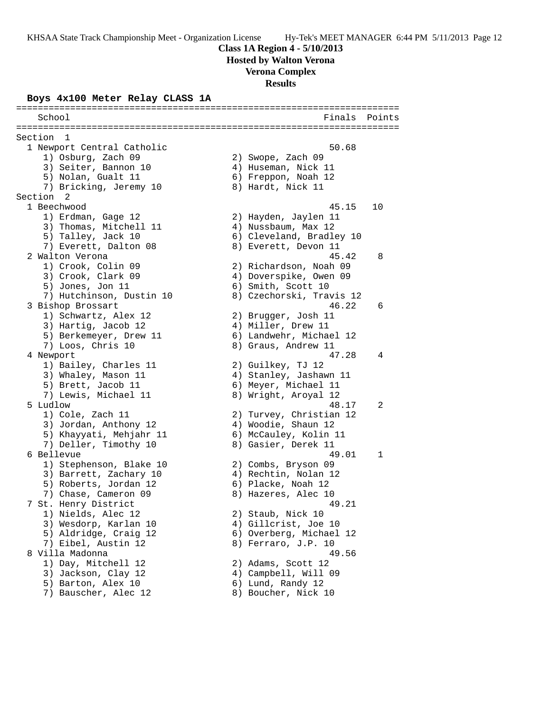### **Class 1A Region 4 - 5/10/2013**

**Hosted by Walton Verona**

#### **Verona Complex**

**Results**

### **Boys 4x100 Meter Relay CLASS 1A**

======================================================================= School **Finals** Points **School** ======================================================================= Section 1<br>1 Newport Central Catholic 1 Newport Central Catholic 50.68 1) Osburg, Zach 09 2) Swope, Zach 09 3) Seiter, Bannon 10 (4) Huseman, Nick 11 5) Nolan, Gualt 11 6) Freppon, Noah 12 7) Bricking, Jeremy 10  $\hphantom{\text{2.65}$  8) Hardt, Nick 11 Section 2<br>1 Beechwood 1 Beechwood 45.15 10 1) Erdman, Gage 12 2) Hayden, Jaylen 11 3) Thomas, Mitchell 11 (4) Nussbaum, Max 12 5) Talley, Jack 10  $\hphantom{\text{2.65}$  6) Cleveland, Bradley 10 7) Everett, Dalton 08 8) Everett, Devon 11 2 Walton Verona 45.42 8 1) Crook, Colin 09 2) Richardson, Noah 09 3) Crook, Clark 09 4) Doverspike, Owen 09 5) Jones, Jon 11 6) Smith, Scott 10 7) Hutchinson, Dustin 10 8) Czechorski, Travis 12 3 Bishop Brossart 46.22 6 1) Schwartz, Alex 12 2) Brugger, Josh 11 3) Hartig, Jacob 12 (4) Miller, Drew 11 5) Berkemeyer, Drew 11 6) Landwehr, Michael 12 7) Loos, Chris 10 8) Graus, Andrew 11 4 Newport 47.28 4 1) Bailey, Charles 11 2) Guilkey, TJ 12 3) Whaley, Mason 11 4) Stanley, Jashawn 11 5) Brett, Jacob 11 6) Meyer, Michael 11 7) Lewis, Michael 11 8) Wright, Aroyal 12 5 Ludlow 48.17 2 1) Cole, Zach 11 2) Turvey, Christian 12 3) Jordan, Anthony 12 4) Woodie, Shaun 12 5) Khayyati, Mehjahr 11 6) McCauley, Kolin 11 7) Deller, Timothy 10  $\hskip 1.5cm 8)$  Gasier, Derek 11 6 Bellevue 49.01 1 1) Stephenson, Blake 10 2) Combs, Bryson 09 3) Barrett, Zachary 10  $\hskip1cm$  4) Rechtin, Nolan 12 5) Roberts, Jordan 12 (6) Placke, Noah 12 7) Chase, Cameron 09 68 8) Hazeres, Alec 7 St. Henry District 49.21 1) Nields, Alec 12 2) Staub, Nick 10 3) Wesdorp, Karlan 10  $\hskip1cm$  4) Gillcrist, Joe 10 5) Aldridge, Craig 12 6) Overberg, Michael 12 7) Eibel, Austin 12 8) Ferraro, J.P. 10 8 Villa Madonna 49.56 1) Day, Mitchell 12 2) Adams, Scott 12 3) Jackson, Clay 12 4) Campbell, Will 09 5) Barton, Alex 10 6) Lund, Randy 12 7) Bauscher, Alec 12 (8) Boucher, Nick 10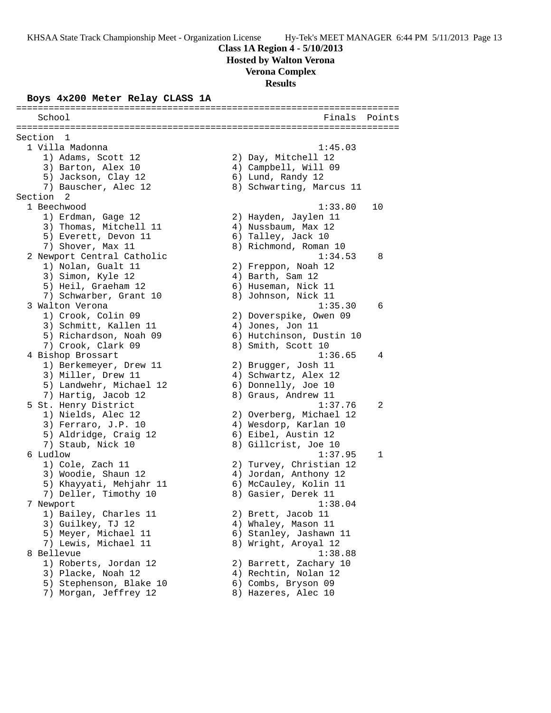**Hosted by Walton Verona**

## **Verona Complex**

**Results**

### **Boys 4x200 Meter Relay CLASS 1A**

======================================================================= School **Finals** Points **School** ======================================================================= Section 1<br>1 Villa Madonna 1 Villa Madonna 1:45.03 1) Adams, Scott 12 2) Day, Mitchell 12 3) Barton, Alex 10 (4) Campbell, Will 09 5) Jackson, Clay 12 (6) Lund, Randy 12 7) Bauscher, Alec 12 (8) Schwarting, Marcus 11 Section 2<br>1 Beechwood 1 Beechwood 1:33.80 10 1) Erdman, Gage 12 2) Hayden, Jaylen 11 3) Thomas, Mitchell 11 (4) Nussbaum, Max 12 5) Everett, Devon 11 6) Talley, Jack 10 7) Shover, Max 11 8) Richmond, Roman 10 2 Newport Central Catholic 1:34.53 8 1) Nolan, Gualt 11 2) Freppon, Noah 12 3) Simon, Kyle 12 (4) Barth, Sam 12 5) Heil, Graeham 12 (6) Huseman, Nick 11 7) Schwarber, Grant 10  $\qquad \qquad 8)$  Johnson, Nick 11 3 Walton Verona 1:35.30 6 1) Crook, Colin 09 2) Doverspike, Owen 09 3) Schmitt, Kallen 11 (4) Jones, Jon 11 5) Richardson, Noah 09 6) Hutchinson, Dustin 10 7) Crook, Clark 09 8) Smith, Scott 10 4 Bishop Brossart 1:36.65 4 1) Berkemeyer, Drew 11 2) Brugger, Josh 11 3) Miller, Drew 11 4) Schwartz, Alex 12 5) Landwehr, Michael 12 (6) Donnelly, Joe 10 7) Hartig, Jacob 12 8) Graus, Andrew 11 5 St. Henry District 1:37.76 2 1) Nields, Alec 12 2) Overberg, Michael 12 3) Ferraro, J.P. 10 4) Wesdorp, Karlan 10 5) Aldridge, Craig 12 (6) Eibel, Austin 12 7) Staub, Nick 10 8) Gillcrist, Joe 10 6 Ludlow 1:37.95 1 1) Cole, Zach 11 2) Turvey, Christian 12 3) Woodie, Shaun 12 4) Jordan, Anthony 12 5) Khayyati, Mehjahr 11 6) McCauley, Kolin 11 7) Deller, Timothy 10  $\hskip1cm 8)$  Gasier, Derek 11 7 Newport 1:38.04 1) Bailey, Charles 11 2) Brett, Jacob 11 3) Guilkey, TJ 12 4) Whaley, Mason 11 5) Meyer, Michael 11  $\hskip10mm$  6) Stanley, Jashawn 11 7) Lewis, Michael 11 8) Wright, Aroyal 12 8 Bellevue 1:38.88 1) Roberts, Jordan 12 2) Barrett, Zachary 10 3) Placke, Noah 12 4) Rechtin, Nolan 12 5) Stephenson, Blake 10 (6) Combs, Bryson 09 7) Morgan, Jeffrey 12  $\hskip1cm 8$ ) Hazeres, Alec 10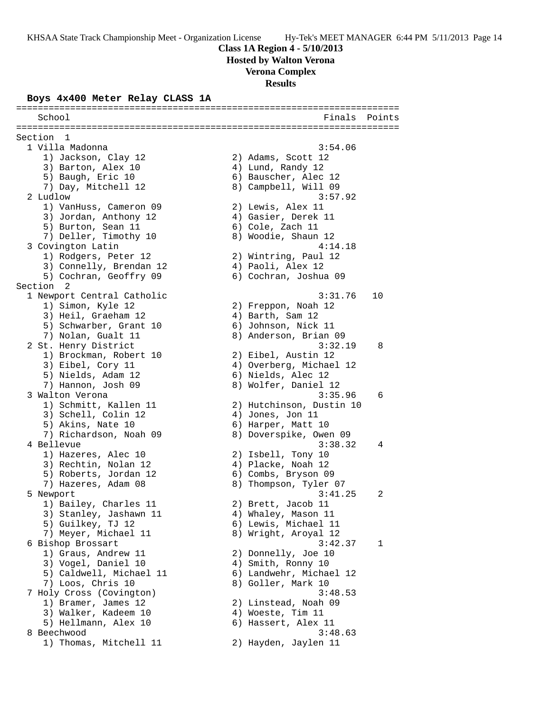**Hosted by Walton Verona**

**Verona Complex**

## **Results**

### **Boys 4x400 Meter Relay CLASS 1A**

======================================================================= School **Finals** Points **School** ======================================================================= Section 1<br>1 Villa Madonna 1 Villa Madonna 3:54.06 1) Jackson, Clay 12 2) Adams, Scott 12 3) Barton, Alex 10 4) Lund, Randy 12 5) Baugh, Eric 10 (6) Bauscher, Alec 12 7) Day, Mitchell 12 8) Campbell, Will 09 2 Ludlow 3:57.92 1) VanHuss, Cameron 09 2) Lewis, Alex 11 3) Jordan, Anthony 12 4) Gasier, Derek 11 5) Burton, Sean 11 6) Cole, Zach 11 7) Deller, Timothy 10  $\hskip1cm 8$ ) Woodie, Shaun 12 3 Covington Latin 4:14.18 1) Rodgers, Peter 12 2) Wintring, Paul 12 3) Connelly, Brendan 12 (4) Paoli, Alex 12 5) Cochran, Geoffry 09 6) Cochran, Joshua 09 Section 2 1 Newport Central Catholic 3:31.76 10 1) Simon, Kyle 12 2) Freppon, Noah 12 3) Heil, Graeham 12 (4) Barth, Sam 12 5) Schwarber, Grant 10 (6) Johnson, Nick 11 7) Nolan, Gualt 11 8) Anderson, Brian 09 2 St. Henry District 3:32.19 8 1) Brockman, Robert 10 2) Eibel, Austin 12 3) Eibel, Cory 11 4) Overberg, Michael 12 5) Nields, Adam 12 (6) Nields, Alec 12 7) Hannon, Josh 09 8) Wolfer, Daniel 12 3 Walton Verona 3:35.96 6 1) Schmitt, Kallen 11 2) Hutchinson, Dustin 10 3) Schell, Colin 12 (4) Jones, Jon 11 5) Akins, Nate 10 6) Harper, Matt 10 7) Richardson, Noah 09 8) Doverspike, Owen 09 4 Bellevue 3:38.32 4 1) Hazeres, Alec 10 2) Isbell, Tony 10 3) Rechtin, Nolan 12 (4) Placke, Noah 12 5) Roberts, Jordan 12 (6) Combs, Bryson 09 7) Hazeres, Adam 08 8) Thompson, Tyler 07 5 Newport 3:41.25 2 1) Bailey, Charles 11 2) Brett, Jacob 11 3) Stanley, Jashawn 11 4) Whaley, Mason 11 5) Guilkey, TJ 12 (6) Lewis, Michael 11 7) Meyer, Michael 11  $\hphantom{\text{2.65}$  8) Wright, Aroyal 12 6 Bishop Brossart 3:42.37 1 1) Graus, Andrew 11 2) Donnelly, Joe 10 3) Vogel, Daniel 10 4) Smith, Ronny 10 5) Caldwell, Michael 11 6) Landwehr, Michael 12 7) Loos, Chris 10 8) Goller, Mark 10 7 Holy Cross (Covington) 3:48.53 1) Bramer, James 12 2) Linstead, Noah 09 3) Walker, Kadeem 10  $\hskip1cm 4$ ) Woeste, Tim 11 5) Hellmann, Alex 10 (6) Hassert, Alex 11 8 Beechwood 3:48.63 1) Thomas, Mitchell 11 2) Hayden, Jaylen 11